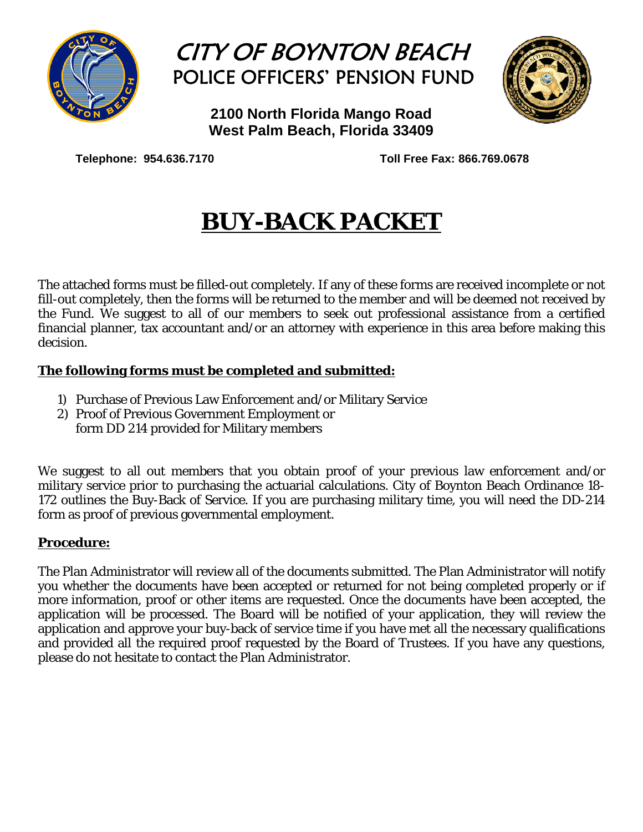



**2100 North Florida Mango Road West Palm Beach, Florida 33409** 

**Telephone: 954.636.7170 Toll Free Fax: 866.769.0678** 

# **BUY-BACK PACKET**

The attached forms must be filled-out completely. If any of these forms are received incomplete or not fill-out completely, then the forms will be returned to the member and will be deemed not received by the Fund. We suggest to all of our members to seek out professional assistance from a certified financial planner, tax accountant and/or an attorney with experience in this area before making this decision.

## **The following forms must be completed and submitted:**

- 1) Purchase of Previous Law Enforcement and/or Military Service
- 2) Proof of Previous Government Employment or form DD 214 provided for Military members

We suggest to all out members that you obtain proof of your previous law enforcement and/or military service prior to purchasing the actuarial calculations. City of Boynton Beach Ordinance 18- 172 outlines the Buy-Back of Service. If you are purchasing military time, you will need the DD-214 form as proof of previous governmental employment.

# **Procedure:**

The Plan Administrator will review all of the documents submitted. The Plan Administrator will notify you whether the documents have been accepted or returned for not being completed properly or if more information, proof or other items are requested. Once the documents have been accepted, the application will be processed. The Board will be notified of your application, they will review the application and approve your buy-back of service time if you have met all the necessary qualifications and provided all the required proof requested by the Board of Trustees. If you have any questions, please do not hesitate to contact the Plan Administrator.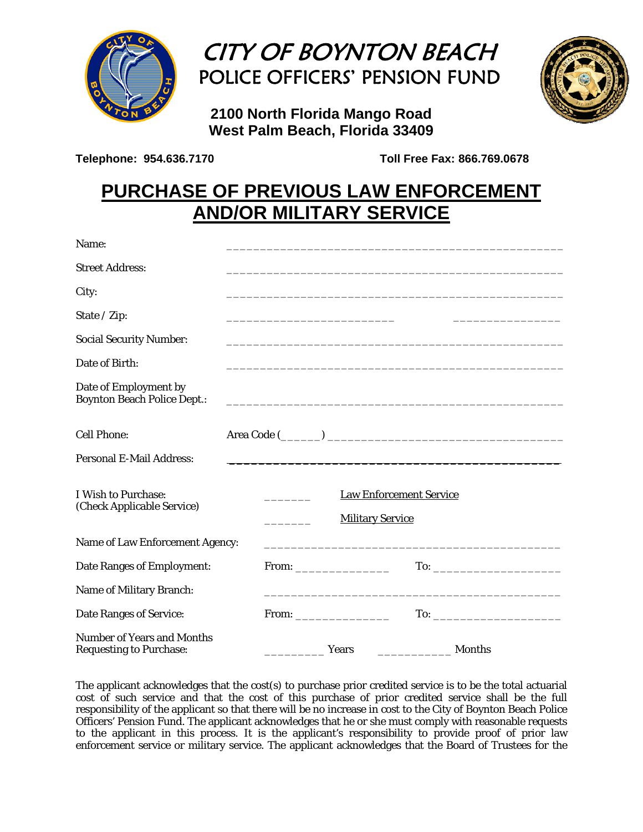

# CITY OF BOYNTON BEACH POLICE OFFICERS' PENSION FUND

**2100 North Florida Mango Road West Palm Beach, Florida 33409** 

**Telephone: 954.636.7170 Toll Free Fax: 866.769.0678** 

# **PURCHASE OF PREVIOUS LAW ENFORCEMENT AND/OR MILITARY SERVICE**

| Name:                                                               |                                                                                                                |                                                             |                                                                                                                                                                                                                                                                                                                                                             |
|---------------------------------------------------------------------|----------------------------------------------------------------------------------------------------------------|-------------------------------------------------------------|-------------------------------------------------------------------------------------------------------------------------------------------------------------------------------------------------------------------------------------------------------------------------------------------------------------------------------------------------------------|
| <b>Street Address:</b>                                              |                                                                                                                |                                                             |                                                                                                                                                                                                                                                                                                                                                             |
| City:                                                               |                                                                                                                |                                                             |                                                                                                                                                                                                                                                                                                                                                             |
| State / Zip:                                                        |                                                                                                                |                                                             |                                                                                                                                                                                                                                                                                                                                                             |
| <b>Social Security Number:</b>                                      |                                                                                                                | <u> 1989 - Johann Stoff, amerikansk politiker (* 1908)</u>  |                                                                                                                                                                                                                                                                                                                                                             |
| Date of Birth:                                                      |                                                                                                                |                                                             |                                                                                                                                                                                                                                                                                                                                                             |
| Date of Employment by<br><b>Boynton Beach Police Dept.:</b>         |                                                                                                                |                                                             |                                                                                                                                                                                                                                                                                                                                                             |
| <b>Cell Phone:</b>                                                  |                                                                                                                |                                                             |                                                                                                                                                                                                                                                                                                                                                             |
| <b>Personal E-Mail Address:</b>                                     |                                                                                                                |                                                             |                                                                                                                                                                                                                                                                                                                                                             |
| I Wish to Purchase:<br>(Check Applicable Service)                   |                                                                                                                | <b>Law Enforcement Service</b><br><b>Military Service</b>   |                                                                                                                                                                                                                                                                                                                                                             |
| Name of Law Enforcement Agency:                                     |                                                                                                                |                                                             |                                                                                                                                                                                                                                                                                                                                                             |
| <b>Date Ranges of Employment:</b>                                   | From: The Commission of the Commission of the Commission of the Commission of the Commission of the Commission |                                                             | $To: \begin{tabular}{ c c c c } \hline \rule{0.3cm}{.01cm} \rule{0.3cm}{.01cm} \rule{0.3cm}{.01cm} \rule{0.3cm}{.01cm} \rule{0.3cm}{.01cm} \rule{0.3cm}{.01cm} \rule{0.3cm}{.01cm} \rule{0.3cm}{.01cm} \rule{0.3cm}{.01cm} \rule{0.3cm}{.01cm} \rule{0.3cm}{.01cm} \rule{0.3cm}{.01cm} \rule{0.3cm}{.01cm} \rule{0.3cm}{.01cm} \rule{0.3cm}{.01cm} \rule{0$ |
| Name of Military Branch:                                            |                                                                                                                | <u> 1989 - Johann Stoff, amerikansk politiker (d. 1989)</u> |                                                                                                                                                                                                                                                                                                                                                             |
| <b>Date Ranges of Service:</b>                                      | From:                                                                                                          |                                                             |                                                                                                                                                                                                                                                                                                                                                             |
| <b>Number of Years and Months</b><br><b>Requesting to Purchase:</b> |                                                                                                                | Months<br><b>Years</b>                                      |                                                                                                                                                                                                                                                                                                                                                             |

The applicant acknowledges that the cost(s) to purchase prior credited service is to be the total actuarial cost of such service and that the cost of this purchase of prior credited service shall be the full responsibility of the applicant so that there will be no increase in cost to the City of Boynton Beach Police Officers' Pension Fund. The applicant acknowledges that he or she must comply with reasonable requests to the applicant in this process. It is the applicant's responsibility to provide proof of prior law enforcement service or military service. The applicant acknowledges that the Board of Trustees for the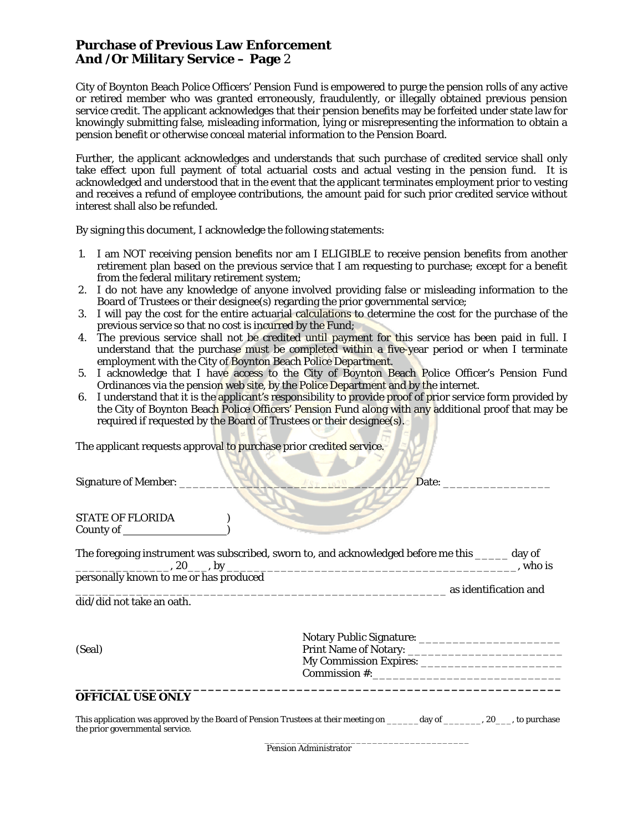### **Purchase of Previous Law Enforcement And /Or Military Service – Page** 2

City of Boynton Beach Police Officers' Pension Fund is empowered to purge the pension rolls of any active or retired member who was granted erroneously, fraudulently, or illegally obtained previous pension service credit. The applicant acknowledges that their pension benefits may be forfeited under state law for knowingly submitting false, misleading information, lying or misrepresenting the information to obtain a pension benefit or otherwise conceal material information to the Pension Board.

Further, the applicant acknowledges and understands that such purchase of credited service shall only take effect upon full payment of total actuarial costs and actual vesting in the pension fund. It is acknowledged and understood that in the event that the applicant terminates employment prior to vesting and receives a refund of employee contributions, the amount paid for such prior credited service without interest shall also be refunded.

By signing this document, I acknowledge the following statements:

- 1. I am NOT receiving pension benefits nor am I ELIGIBLE to receive pension benefits from another retirement plan based on the previous service that I am requesting to purchase; except for a benefit from the federal military retirement system;
- 2. I do not have any knowledge of anyone involved providing false or misleading information to the Board of Trustees or their designee(s) regarding the prior governmental service;
- 3. I will pay the cost for the entire actuarial calculations to determine the cost for the purchase of the previous service so that no cost is incurred by the Fund;
- 4. The previous service shall not be credited until payment for this service has been paid in full. I understand that the purchase must be completed within a five-year period or when I terminate employment with the City of Boynton Beach Police Department.
- 5. I acknowledge that I have access to the City of Boynton Beach Police Officer's Pension Fund Ordinances via the pension web site, by the Police Department and by the internet.
- 6. I understand that it is the applicant's responsibility to provide proof of prior service form provided by the City of Boynton Beach Police Officers' Pension Fund along with any additional proof that may be required if requested by the Board of Trustees or their designee(s).

The applicant requests approval to purchase prior credited service.

| Signature of Member:    | Date: |
|-------------------------|-------|
| <b>STATE OF FLORIDA</b> |       |
| County of               |       |

| The foregoing instrument was subscribed, sworn to, and acknowledged before me this | day of |
|------------------------------------------------------------------------------------|--------|
|                                                                                    | who is |
| personally known to me or has produced                                             |        |

\_\_\_\_\_\_\_\_\_\_\_\_\_\_\_\_\_\_\_\_\_\_\_\_\_\_\_\_\_\_\_\_\_\_\_\_\_\_\_\_\_\_\_\_\_\_\_\_\_\_\_\_\_\_\_ as identification and

did/did not take an oath.

| (Seal) | Notary Public Signature:<br>Print Name of Notary: ___________ |
|--------|---------------------------------------------------------------|
|        | My Commission Expires:<br>Commission $#$ :                    |
|        |                                                               |

#### **OFFICIAL USE ONLY**

This application was approved by the Board of Pension Trustees at their meeting on \_\_\_\_\_\_\_day of \_\_\_\_\_\_\_, 20\_\_\_, to purchase the prior governmental service.

> \_\_\_\_\_\_\_\_\_\_\_\_\_\_\_\_\_\_\_\_\_\_\_\_\_\_\_\_\_\_\_\_\_\_\_\_\_\_ Pension Administrator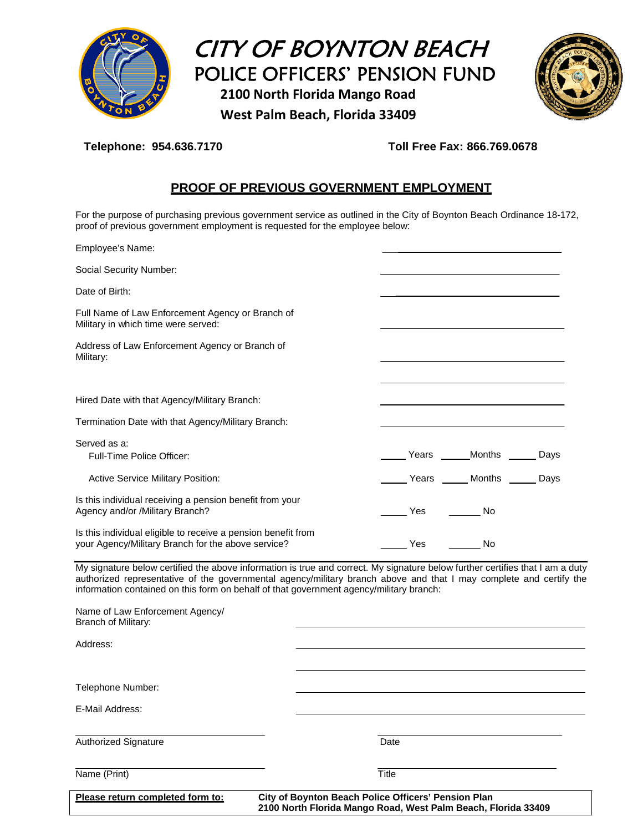

| CITY OF BOYNTON BEACH          |
|--------------------------------|
| POLICE OFFICERS' PENSION FUND  |
| 2100 North Florida Mango Road  |
| West Palm Beach, Florida 33409 |



**Telephone: 954.636.7170 Toll Free Fax: 866.769.0678** 

### **PROOF OF PREVIOUS GOVERNMENT EMPLOYMENT**

For the purpose of purchasing previous government service as outlined in the City of Boynton Beach Ordinance 18-172, proof of previous government employment is requested for the employee below:

| Employee's Name:                                                                                                    |     |              |      |
|---------------------------------------------------------------------------------------------------------------------|-----|--------------|------|
| Social Security Number:                                                                                             |     |              |      |
| Date of Birth:                                                                                                      |     |              |      |
| Full Name of Law Enforcement Agency or Branch of<br>Military in which time were served:                             |     |              |      |
| Address of Law Enforcement Agency or Branch of<br>Military:                                                         |     |              |      |
|                                                                                                                     |     |              |      |
| Hired Date with that Agency/Military Branch:                                                                        |     |              |      |
| Termination Date with that Agency/Military Branch:                                                                  |     |              |      |
| Served as a:<br>Full-Time Police Officer:                                                                           |     | Years Months | Days |
| <b>Active Service Military Position:</b>                                                                            |     | Years Months | Days |
| Is this individual receiving a pension benefit from your<br>Agency and/or /Military Branch?                         | Yes | No           |      |
| Is this individual eligible to receive a pension benefit from<br>your Agency/Military Branch for the above service? | Yes | No           |      |

My signature below certified the above information is true and correct. My signature below further certifies that I am a duty authorized representative of the governmental agency/military branch above and that I may complete and certify the information contained on this form on behalf of that government agency/military branch:

Name of Law Enforcement Agency/ Branch of Military:

| Please return completed form to: | City of Boynton Beach Police Officers' Pension Plan<br>2100 North Florida Mango Road, West Palm Beach, Florida 33409 |
|----------------------------------|----------------------------------------------------------------------------------------------------------------------|
| Name (Print)                     | Title                                                                                                                |
| <b>Authorized Signature</b>      | Date                                                                                                                 |
| E-Mail Address:                  |                                                                                                                      |
| Telephone Number:                |                                                                                                                      |
|                                  |                                                                                                                      |
| Address:                         |                                                                                                                      |
| <b>DIAINIUI UI IVIIIIIAI Y.</b>  |                                                                                                                      |